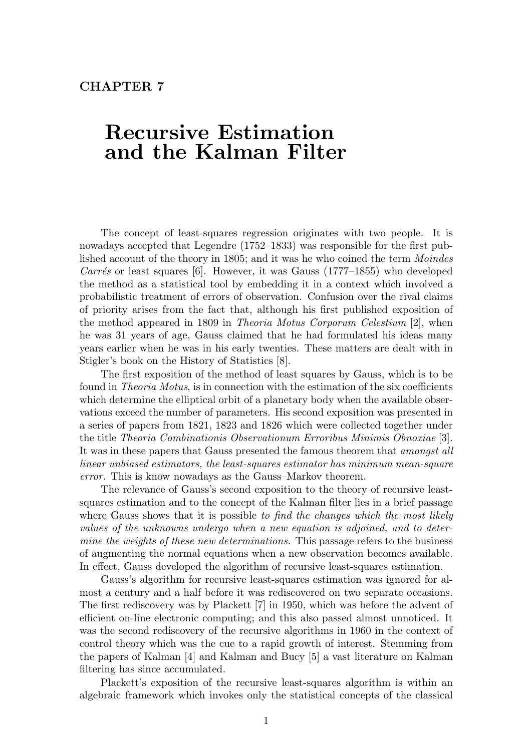# **CHAPTER 7**

# **Recursive Estimation and the Kalman Filter**

The concept of least-squares regression originates with two people. It is nowadays accepted that Legendre (1752–1833) was responsible for the first published account of the theory in 1805; and it was he who coined the term Moindes Carrés or least squares [6]. However, it was Gauss  $(1777-1855)$  who developed the method as a statistical tool by embedding it in a context which involved a probabilistic treatment of errors of observation. Confusion over the rival claims of priority arises from the fact that, although his first published exposition of the method appeared in 1809 in Theoria Motus Corporum Celestium [2], when he was 31 years of age, Gauss claimed that he had formulated his ideas many years earlier when he was in his early twenties. These matters are dealt with in Stigler's book on the History of Statistics [8].

The first exposition of the method of least squares by Gauss, which is to be found in Theoria Motus, is in connection with the estimation of the six coefficients which determine the elliptical orbit of a planetary body when the available observations exceed the number of parameters. His second exposition was presented in a series of papers from 1821, 1823 and 1826 which were collected together under the title Theoria Combinationis Observationum Erroribus Minimis Obnoxiae [3]. It was in these papers that Gauss presented the famous theorem that amongst all linear unbiased estimators, the least-squares estimator has minimum mean-square error. This is know nowadays as the Gauss–Markov theorem.

The relevance of Gauss's second exposition to the theory of recursive leastsquares estimation and to the concept of the Kalman filter lies in a brief passage where Gauss shows that it is possible to find the changes which the most likely values of the unknowns undergo when a new equation is adjoined, and to determine the weights of these new determinations. This passage refers to the business of augmenting the normal equations when a new observation becomes available. In effect, Gauss developed the algorithm of recursive least-squares estimation.

Gauss's algorithm for recursive least-squares estimation was ignored for almost a century and a half before it was rediscovered on two separate occasions. The first rediscovery was by Plackett [7] in 1950, which was before the advent of efficient on-line electronic computing; and this also passed almost unnoticed. It was the second rediscovery of the recursive algorithms in 1960 in the context of control theory which was the cue to a rapid growth of interest. Stemming from the papers of Kalman [4] and Kalman and Bucy [5] a vast literature on Kalman filtering has since accumulated.

Plackett's exposition of the recursive least-squares algorithm is within an algebraic framework which invokes only the statistical concepts of the classical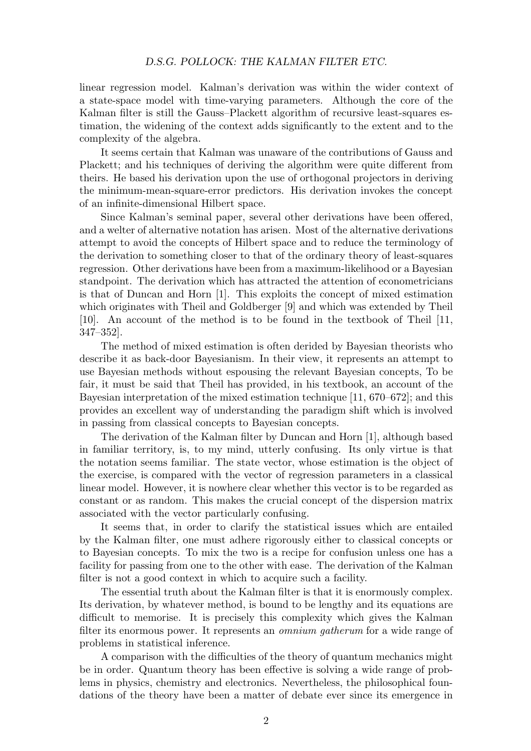linear regression model. Kalman's derivation was within the wider context of a state-space model with time-varying parameters. Although the core of the Kalman filter is still the Gauss–Plackett algorithm of recursive least-squares estimation, the widening of the context adds significantly to the extent and to the complexity of the algebra.

It seems certain that Kalman was unaware of the contributions of Gauss and Plackett; and his techniques of deriving the algorithm were quite different from theirs. He based his derivation upon the use of orthogonal projectors in deriving the minimum-mean-square-error predictors. His derivation invokes the concept of an infinite-dimensional Hilbert space.

Since Kalman's seminal paper, several other derivations have been offered, and a welter of alternative notation has arisen. Most of the alternative derivations attempt to avoid the concepts of Hilbert space and to reduce the terminology of the derivation to something closer to that of the ordinary theory of least-squares regression. Other derivations have been from a maximum-likelihood or a Bayesian standpoint. The derivation which has attracted the attention of econometricians is that of Duncan and Horn [1]. This exploits the concept of mixed estimation which originates with Theil and Goldberger [9] and which was extended by Theil [10]. An account of the method is to be found in the textbook of Theil [11, 347–352].

The method of mixed estimation is often derided by Bayesian theorists who describe it as back-door Bayesianism. In their view, it represents an attempt to use Bayesian methods without espousing the relevant Bayesian concepts, To be fair, it must be said that Theil has provided, in his textbook, an account of the Bayesian interpretation of the mixed estimation technique [11, 670–672]; and this provides an excellent way of understanding the paradigm shift which is involved in passing from classical concepts to Bayesian concepts.

The derivation of the Kalman filter by Duncan and Horn [1], although based in familiar territory, is, to my mind, utterly confusing. Its only virtue is that the notation seems familiar. The state vector, whose estimation is the object of the exercise, is compared with the vector of regression parameters in a classical linear model. However, it is nowhere clear whether this vector is to be regarded as constant or as random. This makes the crucial concept of the dispersion matrix associated with the vector particularly confusing.

It seems that, in order to clarify the statistical issues which are entailed by the Kalman filter, one must adhere rigorously either to classical concepts or to Bayesian concepts. To mix the two is a recipe for confusion unless one has a facility for passing from one to the other with ease. The derivation of the Kalman filter is not a good context in which to acquire such a facility.

The essential truth about the Kalman filter is that it is enormously complex. Its derivation, by whatever method, is bound to be lengthy and its equations are difficult to memorise. It is precisely this complexity which gives the Kalman filter its enormous power. It represents an *omnium gatherum* for a wide range of problems in statistical inference.

A comparison with the difficulties of the theory of quantum mechanics might be in order. Quantum theory has been effective is solving a wide range of problems in physics, chemistry and electronics. Nevertheless, the philosophical foundations of the theory have been a matter of debate ever since its emergence in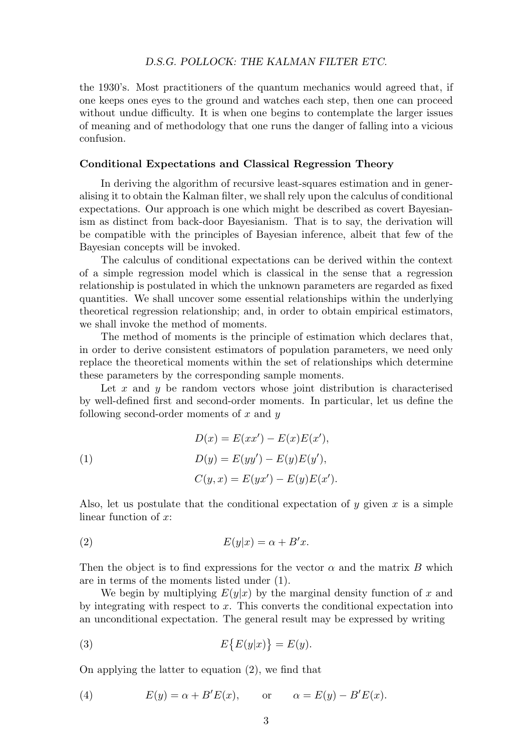the 1930's. Most practitioners of the quantum mechanics would agreed that, if one keeps ones eyes to the ground and watches each step, then one can proceed without undue difficulty. It is when one begins to contemplate the larger issues of meaning and of methodology that one runs the danger of falling into a vicious confusion.

## **Conditional Expectations and Classical Regression Theory**

In deriving the algorithm of recursive least-squares estimation and in generalising it to obtain the Kalman filter, we shall rely upon the calculus of conditional expectations. Our approach is one which might be described as covert Bayesianism as distinct from back-door Bayesianism. That is to say, the derivation will be compatible with the principles of Bayesian inference, albeit that few of the Bayesian concepts will be invoked.

The calculus of conditional expectations can be derived within the context of a simple regression model which is classical in the sense that a regression relationship is postulated in which the unknown parameters are regarded as fixed quantities. We shall uncover some essential relationships within the underlying theoretical regression relationship; and, in order to obtain empirical estimators, we shall invoke the method of moments.

The method of moments is the principle of estimation which declares that, in order to derive consistent estimators of population parameters, we need only replace the theoretical moments within the set of relationships which determine these parameters by the corresponding sample moments.

Let x and y be random vectors whose joint distribution is characterised by well-defined first and second-order moments. In particular, let us define the following second-order moments of *x* and *y*

(1)  
\n
$$
D(x) = E(xx') - E(x)E(x'),
$$
\n
$$
D(y) = E(yy') - E(y)E(y'),
$$
\n
$$
C(y, x) = E(yx') - E(y)E(x').
$$

Also, let us postulate that the conditional expectation of *y* given *x* is a simple linear function of *x*:

$$
(2) \tE(y|x) = \alpha + B'x.
$$

Then the object is to find expressions for the vector  $\alpha$  and the matrix  $B$  which are in terms of the moments listed under (1).

We begin by multiplying  $E(y|x)$  by the marginal density function of x and by integrating with respect to *x*. This converts the conditional expectation into an unconditional expectation. The general result may be expressed by writing

(3) 
$$
E\{E(y|x)\} = E(y).
$$

On applying the latter to equation (2), we find that

(4) 
$$
E(y) = \alpha + B'E(x), \quad \text{or} \quad \alpha = E(y) - B'E(x).
$$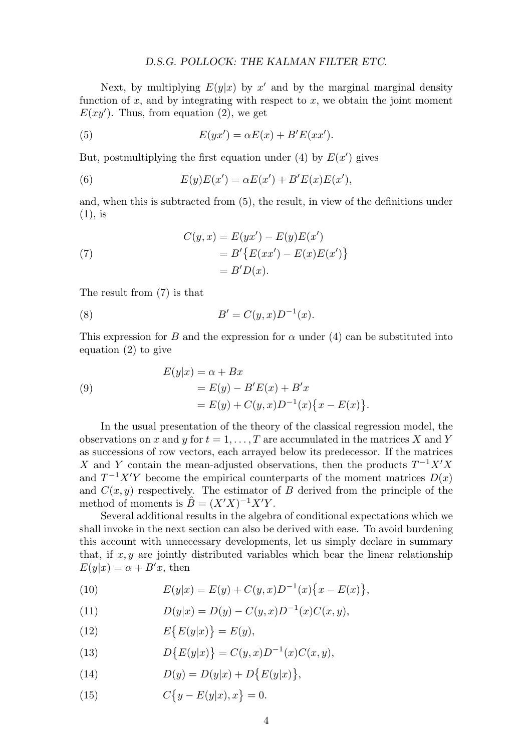Next, by multiplying  $E(y|x)$  by  $x<sup>0</sup>$  and by the marginal marginal density function of  $x$ , and by integrating with respect to  $x$ , we obtain the joint moment  $E(xy')$ . Thus, from equation (2), we get

(5) 
$$
E(yx') = \alpha E(x) + B'E(xx').
$$

But, postmultiplying the first equation under  $(4)$  by  $E(x')$  gives

(6) 
$$
E(y)E(x') = \alpha E(x') + B'E(x)E(x'),
$$

and, when this is subtracted from (5), the result, in view of the definitions under (1), is

(7) 
$$
C(y,x) = E(yx') - E(y)E(x')
$$

$$
= B'\{E(xx') - E(x)E(x')\}
$$

$$
= B'D(x).
$$

The result from (7) is that

(8) 
$$
B' = C(y, x)D^{-1}(x).
$$

This expression for *B* and the expression for  $\alpha$  under (4) can be substituted into equation (2) to give

(9)  
\n
$$
E(y|x) = \alpha + Bx
$$
\n
$$
= E(y) - B'E(x) + B'x
$$
\n
$$
= E(y) + C(y, x)D^{-1}(x)\{x - E(x)\}.
$$

In the usual presentation of the theory of the classical regression model, the observations on *x* and *y* for  $t = 1, \ldots, T$  are accumulated in the matrices *X* and *Y* as successions of row vectors, each arrayed below its predecessor. If the matrices *X* and *Y* contain the mean-adjusted observations, then the products  $T^{-1}X'X$ and  $T^{-1}X'Y$  become the empirical counterparts of the moment matrices  $D(x)$ and  $C(x, y)$  respectively. The estimator of *B* derived from the principle of the method of moments is  $\hat{B} = (X'X)^{-1}X'Y$ .

Several additional results in the algebra of conditional expectations which we shall invoke in the next section can also be derived with ease. To avoid burdening this account with unnecessary developments, let us simply declare in summary that, if  $x, y$  are jointly distributed variables which bear the linear relationship  $E(y|x) = \alpha + B'x$ , then

(10) 
$$
E(y|x) = E(y) + C(y, x)D^{-1}(x)\{x - E(x)\},
$$

(11) 
$$
D(y|x) = D(y) - C(y,x)D^{-1}(x)C(x,y),
$$

(12)  $E\{E(y|x)\} = E(y),$ 

(13) 
$$
D\{E(y|x)\} = C(y,x)D^{-1}(x)C(x,y),
$$

(14) 
$$
D(y) = D(y|x) + D\{E(y|x)\},\
$$

(15) 
$$
C\{y - E(y|x), x\} = 0.
$$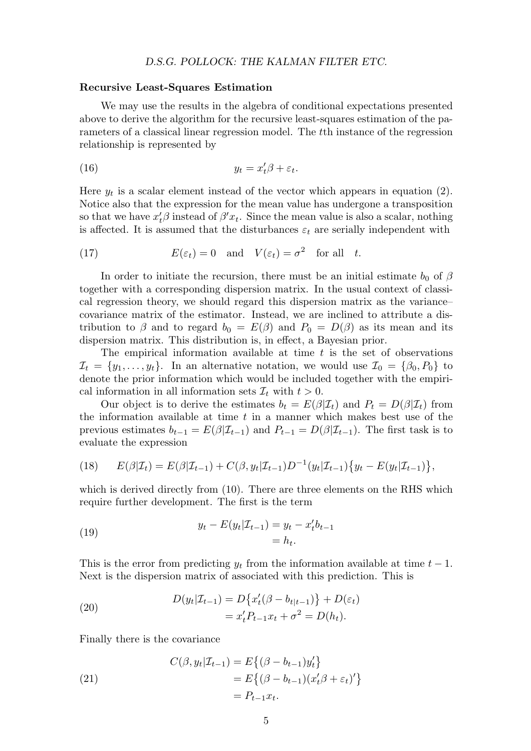#### **Recursive Least-Squares Estimation**

We may use the results in the algebra of conditional expectations presented above to derive the algorithm for the recursive least-squares estimation of the parameters of a classical linear regression model. The *t*th instance of the regression relationship is represented by

$$
(16) \t\t y_t = x_t'\beta + \varepsilon_t.
$$

Here  $y_t$  is a scalar element instead of the vector which appears in equation (2). Notice also that the expression for the mean value has undergone a transposition so that we have  $x_t$ <sup>*β*</sup> instead of  $\beta' x_t$ . Since the mean value is also a scalar, nothing is affected. It is assumed that the disturbances  $\varepsilon_t$  are serially independent with

(17) 
$$
E(\varepsilon_t) = 0
$$
 and  $V(\varepsilon_t) = \sigma^2$  for all t.

In order to initiate the recursion, there must be an initial estimate  $b_0$  of  $\beta$ together with a corresponding dispersion matrix. In the usual context of classical regression theory, we should regard this dispersion matrix as the variance– covariance matrix of the estimator. Instead, we are inclined to attribute a distribution to  $\beta$  and to regard  $b_0 = E(\beta)$  and  $P_0 = D(\beta)$  as its mean and its dispersion matrix. This distribution is, in effect, a Bayesian prior.

The empirical information available at time *t* is the set of observations  $\mathcal{I}_t = \{y_1, \ldots, y_t\}$ . In an alternative notation, we would use  $\mathcal{I}_0 = \{\beta_0, P_0\}$  to denote the prior information which would be included together with the empirical information in all information sets  $\mathcal{I}_t$  with  $t > 0$ .

Our object is to derive the estimates  $b_t = E(\beta | \mathcal{I}_t)$  and  $P_t = D(\beta | \mathcal{I}_t)$  from the information available at time *t* in a manner which makes best use of the previous estimates  $b_{t-1} = E(\beta | \mathcal{I}_{t-1})$  and  $P_{t-1} = D(\beta | \mathcal{I}_{t-1})$ . The first task is to evaluate the expression

(18) 
$$
E(\beta|\mathcal{I}_t) = E(\beta|\mathcal{I}_{t-1}) + C(\beta, y_t|\mathcal{I}_{t-1})D^{-1}(y_t|\mathcal{I}_{t-1})\{y_t - E(y_t|\mathcal{I}_{t-1})\},
$$

which is derived directly from  $(10)$ . There are three elements on the RHS which require further development. The first is the term

(19) 
$$
y_t - E(y_t | \mathcal{I}_{t-1}) = y_t - x_t' b_{t-1} = h_t.
$$

This is the error from predicting  $y_t$  from the information available at time  $t-1$ . Next is the dispersion matrix of associated with this prediction. This is

(20) 
$$
D(y_t|\mathcal{I}_{t-1}) = D\{x'_t(\beta - b_{t|t-1})\} + D(\varepsilon_t) = x'_t P_{t-1} x_t + \sigma^2 = D(h_t).
$$

Finally there is the covariance

(21)  
\n
$$
C(\beta, y_t | \mathcal{I}_{t-1}) = E\{(\beta - b_{t-1})y_t'\}
$$
\n
$$
= E\{(\beta - b_{t-1})(x_t'\beta + \varepsilon_t)'\}
$$
\n
$$
= P_{t-1}x_t.
$$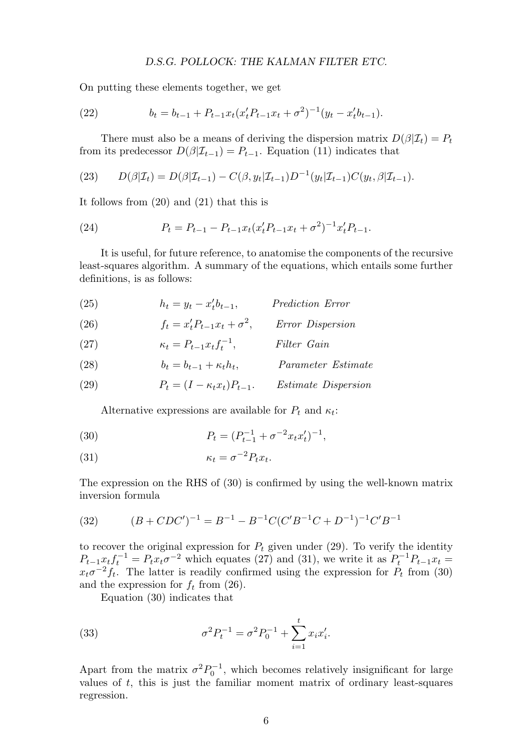On putting these elements together, we get

(22) 
$$
b_t = b_{t-1} + P_{t-1} x_t (x_t' P_{t-1} x_t + \sigma^2)^{-1} (y_t - x_t' b_{t-1}).
$$

There must also be a means of deriving the dispersion matrix  $D(\beta|\mathcal{I}_t) = P_t$ from its predecessor  $D(\beta|\mathcal{I}_{t-1}) = P_{t-1}$ . Equation (11) indicates that

(23) 
$$
D(\beta|\mathcal{I}_t) = D(\beta|\mathcal{I}_{t-1}) - C(\beta, y_t|\mathcal{I}_{t-1})D^{-1}(y_t|\mathcal{I}_{t-1})C(y_t, \beta|\mathcal{I}_{t-1}).
$$

It follows from (20) and (21) that this is

(24) 
$$
P_t = P_{t-1} - P_{t-1} x_t (x_t' P_{t-1} x_t + \sigma^2)^{-1} x_t' P_{t-1}.
$$

It is useful, for future reference, to anatomise the components of the recursive least-squares algorithm. A summary of the equations, which entails some further definitions, is as follows:

(25) 
$$
h_t = y_t - x'_t b_{t-1}, \qquad \text{ Prediction Error}
$$

(26) 
$$
f_t = x_t' P_{t-1} x_t + \sigma^2, \qquad Error \ Disperson
$$

(27) 
$$
\kappa_t = P_{t-1} x_t f_t^{-1}, \qquad \text{Filter Gain}
$$

(28) 
$$
b_t = b_{t-1} + \kappa_t h_t, \qquad \qquad Parameter \; Estimate
$$

(29) 
$$
P_t = (I - \kappa_t x_t) P_{t-1}.
$$
 *Estimate Dispression*

Alternative expressions are available for  $P_t$  and  $\kappa_t$ :

(30) 
$$
P_t = (P_{t-1}^{-1} + \sigma^{-2} x_t x_t')^{-1},
$$

(31) 
$$
\kappa_t = \sigma^{-2} P_t x_t.
$$

The expression on the RHS of (30) is confirmed by using the well-known matrix inversion formula

(32) 
$$
(B + CDC')^{-1} = B^{-1} - B^{-1}C(C'B^{-1}C + D^{-1})^{-1}C'B^{-1}
$$

to recover the original expression for  $P_t$  given under  $(29)$ . To verify the identity  $P_{t-1}x_tf_t^{-1} = P_{t}x_t\sigma^{-2}$  which equates (27) and (31), we write it as  $P_t^{-1}P_{t-1}x_t =$  $x_t \sigma^{-2} f_t$ . The latter is readily confirmed using the expression for  $P_t$  from (30) and the expression for  $f_t$  from (26).

Equation (30) indicates that

(33) 
$$
\sigma^2 P_t^{-1} = \sigma^2 P_0^{-1} + \sum_{i=1}^t x_i x_i'.
$$

Apart from the matrix  $\sigma^2 P_0^{-1}$ , which becomes relatively insignificant for large values of *t*, this is just the familiar moment matrix of ordinary least-squares regression.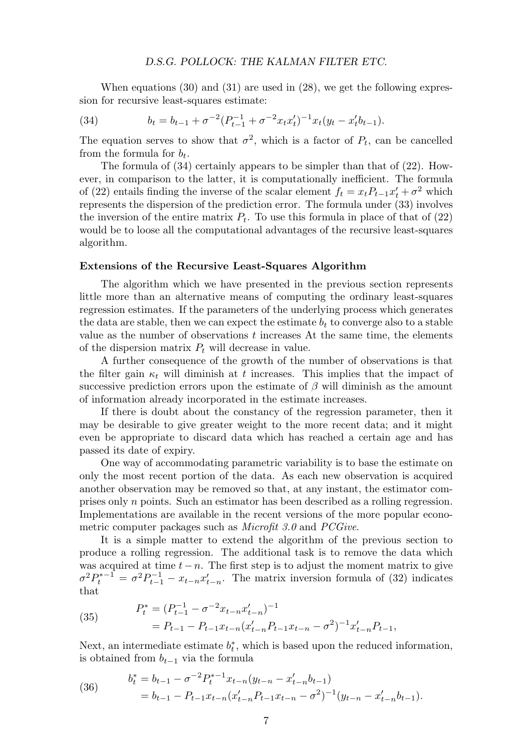When equations  $(30)$  and  $(31)$  are used in  $(28)$ , we get the following expression for recursive least-squares estimate:

(34) 
$$
b_t = b_{t-1} + \sigma^{-2} (P_{t-1}^{-1} + \sigma^{-2} x_t x_t')^{-1} x_t (y_t - x_t' b_{t-1}).
$$

The equation serves to show that  $\sigma^2$ , which is a factor of  $P_t$ , can be cancelled from the formula for *bt*.

The formula of (34) certainly appears to be simpler than that of (22). However, in comparison to the latter, it is computationally inefficient. The formula of (22) entails finding the inverse of the scalar element  $f_t = x_t P_{t-1} x'_t + \sigma^2$  which represents the dispersion of the prediction error. The formula under (33) involves the inversion of the entire matrix  $P_t$ . To use this formula in place of that of  $(22)$ would be to loose all the computational advantages of the recursive least-squares algorithm.

#### **Extensions of the Recursive Least-Squares Algorithm**

The algorithm which we have presented in the previous section represents little more than an alternative means of computing the ordinary least-squares regression estimates. If the parameters of the underlying process which generates the data are stable, then we can expect the estimate  $b_t$  to converge also to a stable value as the number of observations *t* increases At the same time, the elements of the dispersion matrix *P<sup>t</sup>* will decrease in value.

A further consequence of the growth of the number of observations is that the filter gain  $\kappa_t$  will diminish at *t* increases. This implies that the impact of successive prediction errors upon the estimate of  $\beta$  will diminish as the amount of information already incorporated in the estimate increases.

If there is doubt about the constancy of the regression parameter, then it may be desirable to give greater weight to the more recent data; and it might even be appropriate to discard data which has reached a certain age and has passed its date of expiry.

One way of accommodating parametric variability is to base the estimate on only the most recent portion of the data. As each new observation is acquired another observation may be removed so that, at any instant, the estimator comprises only *n* points. Such an estimator has been described as a rolling regression. Implementations are available in the recent versions of the more popular econometric computer packages such as *Microfit 3.0* and *PCGive*.

It is a simple matter to extend the algorithm of the previous section to produce a rolling regression. The additional task is to remove the data which was acquired at time  $t - n$ . The first step is to adjust the moment matrix to give  $\sigma^2 P_t^{*-1} = \sigma^2 P_{t-1}^{-1} - x_{t-n} x'_{t-n}$ . The matrix inversion formula of (32) indicates that

(35) 
$$
P_t^* = (P_{t-1}^{-1} - \sigma^{-2} x_{t-n} x'_{t-n})^{-1}
$$

$$
= P_{t-1} - P_{t-1} x_{t-n} (x'_{t-n} P_{t-1} x_{t-n} - \sigma^2)^{-1} x'_{t-n} P_{t-1},
$$

Next, an intermediate estimate  $b_t^*$ , which is based upon the reduced information, is obtained from  $b_{t-1}$  via the formula

(36) 
$$
b_t^* = b_{t-1} - \sigma^{-2} P_t^{*-1} x_{t-n} (y_{t-n} - x'_{t-n} b_{t-1})
$$

$$
= b_{t-1} - P_{t-1} x_{t-n} (x'_{t-n} P_{t-1} x_{t-n} - \sigma^2)^{-1} (y_{t-n} - x'_{t-n} b_{t-1}).
$$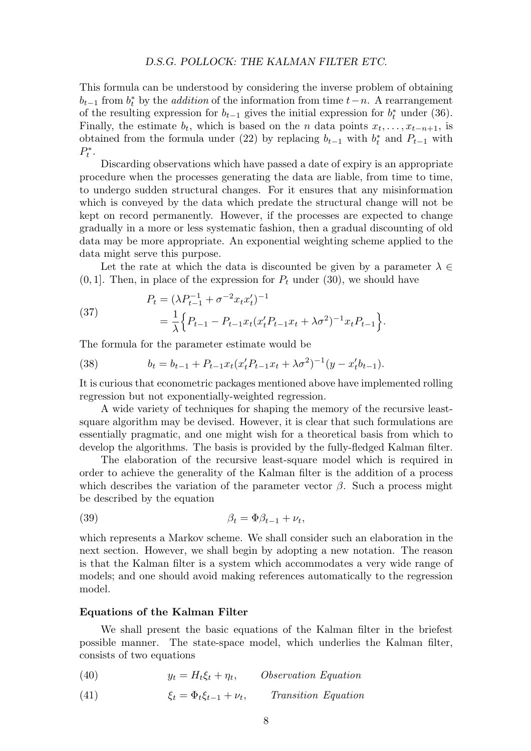This formula can be understood by considering the inverse problem of obtaining  $b_{t-1}$  from  $b_t^*$  by the *addition* of the information from time  $t-n$ . A rearrangement of the resulting expression for  $b_{t-1}$  gives the initial expression for  $b_t^*$  under (36). Finally, the estimate  $b_t$ , which is based on the *n* data points  $x_t, \ldots, x_{t-n+1}$ , is obtained from the formula under (22) by replacing  $b_{t-1}$  with  $b_t^*$  and  $P_{t-1}$  with  $P_t^*$ .

Discarding observations which have passed a date of expiry is an appropriate procedure when the processes generating the data are liable, from time to time, to undergo sudden structural changes. For it ensures that any misinformation which is conveyed by the data which predate the structural change will not be kept on record permanently. However, if the processes are expected to change gradually in a more or less systematic fashion, then a gradual discounting of old data may be more appropriate. An exponential weighting scheme applied to the data might serve this purpose.

Let the rate at which the data is discounted be given by a parameter  $\lambda \in$  $(0, 1]$ . Then, in place of the expression for  $P_t$  under  $(30)$ , we should have

(37) 
$$
P_t = (\lambda P_{t-1}^{-1} + \sigma^{-2} x_t x_t')^{-1}
$$

$$
= \frac{1}{\lambda} \Big\{ P_{t-1} - P_{t-1} x_t (x_t' P_{t-1} x_t + \lambda \sigma^2)^{-1} x_t P_{t-1} \Big\}.
$$

The formula for the parameter estimate would be

(38) 
$$
b_t = b_{t-1} + P_{t-1}x_t(x_t'P_{t-1}x_t + \lambda \sigma^2)^{-1}(y - x_t'b_{t-1}).
$$

It is curious that econometric packages mentioned above have implemented rolling regression but not exponentially-weighted regression.

A wide variety of techniques for shaping the memory of the recursive leastsquare algorithm may be devised. However, it is clear that such formulations are essentially pragmatic, and one might wish for a theoretical basis from which to develop the algorithms. The basis is provided by the fully-fledged Kalman filter.

The elaboration of the recursive least-square model which is required in order to achieve the generality of the Kalman filter is the addition of a process which describes the variation of the parameter vector  $\beta$ . Such a process might be described by the equation

$$
\beta_t = \Phi \beta_{t-1} + \nu_t,
$$

which represents a Markov scheme. We shall consider such an elaboration in the next section. However, we shall begin by adopting a new notation. The reason is that the Kalman filter is a system which accommodates a very wide range of models; and one should avoid making references automatically to the regression model.

#### **Equations of the Kalman Filter**

We shall present the basic equations of the Kalman filter in the briefest possible manner. The state-space model, which underlies the Kalman filter, consists of two equations

- (40)  $y_t = H_t \xi_t + \eta_t$ , Observation Equation
- (41)  $\xi_t = \Phi_t \xi_{t-1} + \nu_t$ , Transition Equation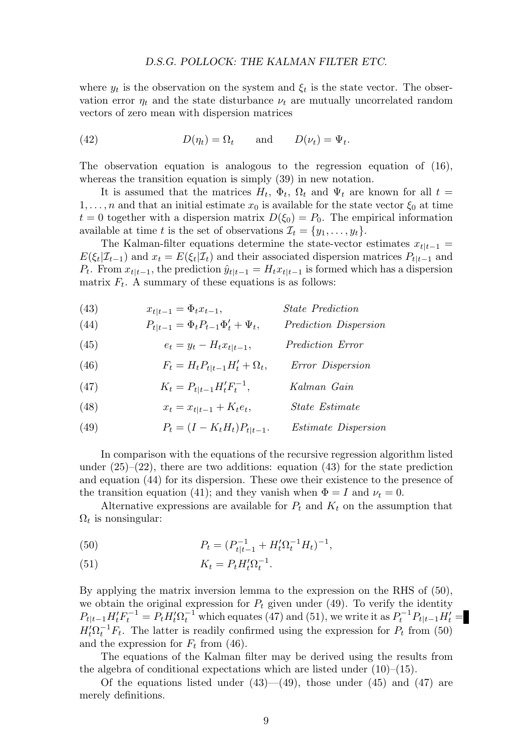where  $y_t$  is the observation on the system and  $\xi_t$  is the state vector. The observation error  $\eta_t$  and the state disturbance  $\nu_t$  are mutually uncorrelated random vectors of zero mean with dispersion matrices

(42) 
$$
D(\eta_t) = \Omega_t \quad \text{and} \quad D(\nu_t) = \Psi_t.
$$

The observation equation is analogous to the regression equation of (16), whereas the transition equation is simply  $(39)$  in new notation.

It is assumed that the matrices  $H_t$ ,  $\Phi_t$ ,  $\Omega_t$  and  $\Psi_t$  are known for all  $t =$ 1,...,*n* and that an initial estimate  $x_0$  is available for the state vector  $\xi_0$  at time  $t = 0$  together with a dispersion matrix  $D(\xi_0) = P_0$ . The empirical information available at time *t* is the set of observations  $\mathcal{I}_t = \{y_1, \ldots, y_t\}.$ 

The Kalman-filter equations determine the state-vector estimates  $x_{t|t-1} =$  $E(\xi_t|\mathcal{I}_{t-1})$  and  $x_t = E(\xi_t|\mathcal{I}_t)$  and their associated dispersion matrices  $P_{t|t-1}$  and  $P_t$ . From  $x_{t|t-1}$ , the prediction  $\hat{y}_{t|t-1} = H_t x_{t|t-1}$  is formed which has a dispersion matrix  $F_t$ . A summary of these equations is as follows:

(43) 
$$
x_{t|t-1} = \Phi_t x_{t-1}, \qquad \qquad State \; Prediction
$$

(44) 
$$
P_{t|t-1} = \Phi_t P_{t-1} \Phi'_t + \Psi_t, \qquad \text{ Prediction Disperson}
$$

(45) 
$$
e_t = y_t - H_t x_{t|t-1}, \qquad \text{ Prediction Error}
$$

(46) 
$$
F_t = H_t P_{t|t-1} H'_t + \Omega_t, \qquad Error \ Disperson
$$

(47) 
$$
K_t = P_{t|t-1}H_t'F_t^{-1}, \qquad Kalman \ Gain
$$

(48) 
$$
x_t = x_{t|t-1} + K_t e_t, \qquad \text{State Estimate}
$$

(49)  $P_t = (I - K_t H_t) P_{t|t-1}$ . Estimate Dispersion

In comparison with the equations of the recursive regression algorithm listed under  $(25)-(22)$ , there are two additions: equation  $(43)$  for the state prediction and equation (44) for its dispersion. These owe their existence to the presence of the transition equation (41); and they vanish when  $\Phi = I$  and  $\nu_t = 0$ .

Alternative expressions are available for  $P_t$  and  $K_t$  on the assumption that  $\Omega_t$  is nonsingular:

(50) 
$$
P_t = (P_{t|t-1}^{-1} + H_t' \Omega_t^{-1} H_t)^{-1},
$$

(51) 
$$
K_t = P_t H_t' \Omega_t^{-1}.
$$

By applying the matrix inversion lemma to the expression on the RHS of (50), we obtain the original expression for  $P_t$  given under (49). To verify the identity  $P_{t|t-1}H'_tF_t^{-1} = P_tH'_t\Omega_t^{-1}$  which equates (47) and (51), we write it as  $P_t^{-1}P_{t|t-1}H'_t =$  $H_t^j \Omega_t^{-1} F_t$ . The latter is readily confirmed using the expression for  $P_t$  from (50) and the expression for  $F_t$  from (46).

The equations of the Kalman filter may be derived using the results from the algebra of conditional expectations which are listed under  $(10)$ – $(15)$ .

Of the equations listed under  $(43)$ — $(49)$ , those under  $(45)$  and  $(47)$  are merely definitions.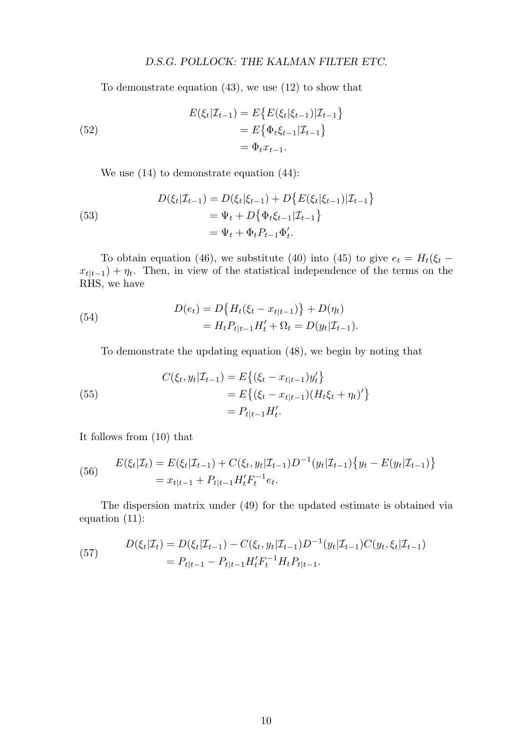To demonstrate equation (43), we use (12) to show that

(52)  
\n
$$
E(\xi_t|\mathcal{I}_{t-1}) = E\{E(\xi_t|\xi_{t-1})|\mathcal{I}_{t-1}\}
$$
\n
$$
= E\{\Phi_t\xi_{t-1}|\mathcal{I}_{t-1}\}
$$
\n
$$
= \Phi_t x_{t-1}.
$$

We use (14) to demonstrate equation (44):

(53)  
\n
$$
D(\xi_t|\mathcal{I}_{t-1}) = D(\xi_t|\xi_{t-1}) + D\{E(\xi_t|\xi_{t-1})|\mathcal{I}_{t-1}\}
$$
\n
$$
= \Psi_t + D\{\Phi_t\xi_{t-1}|\mathcal{I}_{t-1}\}
$$
\n
$$
= \Psi_t + \Phi_tP_{t-1}\Phi'_t.
$$

To obtain equation (46), we substitute (40) into (45) to give  $e_t = H_t(\xi_t - \xi_t)$  $x_{t|t-1}$  +  $\eta_t$ . Then, in view of the statistical independence of the terms on the RHS, we have

(54) 
$$
D(e_t) = D\{H_t(\xi_t - x_{t|t-1})\} + D(\eta_t) = H_t P_{t|t-1} H'_t + \Omega_t = D(y_t | \mathcal{I}_{t-1}).
$$

To demonstrate the updating equation (48), we begin by noting that

(55)  

$$
C(\xi_t, y_t | \mathcal{I}_{t-1}) = E\{ (\xi_t - x_{t|t-1}) y_t' \}
$$

$$
= E\{ (\xi_t - x_{t|t-1}) (H_t \xi_t + \eta_t)' \}
$$

$$
= P_{t|t-1} H_t'.
$$

It follows from (10) that

(56) 
$$
E(\xi_t|\mathcal{I}_t) = E(\xi_t|\mathcal{I}_{t-1}) + C(\xi_t, y_t|\mathcal{I}_{t-1})D^{-1}(y_t|\mathcal{I}_{t-1})\{y_t - E(y_t|\mathcal{I}_{t-1})\}
$$

$$
= x_{t|t-1} + P_{t|t-1}H_t'F_t^{-1}e_t.
$$

The dispersion matrix under (49) for the updated estimate is obtained via equation (11):

(57) 
$$
D(\xi_t|\mathcal{I}_t) = D(\xi_t|\mathcal{I}_{t-1}) - C(\xi_t, y_t|\mathcal{I}_{t-1})D^{-1}(y_t|\mathcal{I}_{t-1})C(y_t, \xi_t|\mathcal{I}_{t-1})
$$

$$
= P_{t|t-1} - P_{t|t-1}H_t'F_t^{-1}H_tP_{t|t-1}.
$$